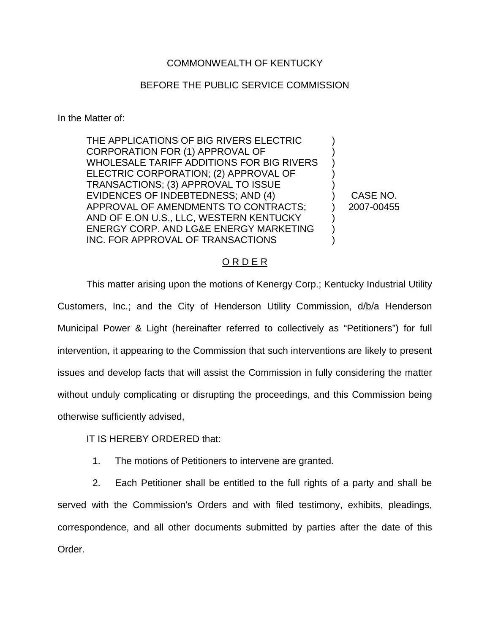## COMMONWEALTH OF KENTUCKY

## BEFORE THE PUBLIC SERVICE COMMISSION

In the Matter of:

THE APPLICATIONS OF BIG RIVERS ELECTRIC CORPORATION FOR (1) APPROVAL OF WHOLESALE TARIFF ADDITIONS FOR BIG RIVERS ELECTRIC CORPORATION; (2) APPROVAL OF TRANSACTIONS; (3) APPROVAL TO ISSUE EVIDENCES OF INDEBTEDNESS; AND (4) APPROVAL OF AMENDMENTS TO CONTRACTS; AND OF E.ON U.S., LLC, WESTERN KENTUCKY ENERGY CORP. AND LG&E ENERGY MARKETING INC. FOR APPROVAL OF TRANSACTIONS

) CASE NO. ) 2007-00455

) ) ) ) )

) ) )

## O R D E R

This matter arising upon the motions of Kenergy Corp.; Kentucky Industrial Utility Customers, Inc.; and the City of Henderson Utility Commission, d/b/a Henderson Municipal Power & Light (hereinafter referred to collectively as "Petitioners") for full intervention, it appearing to the Commission that such interventions are likely to present issues and develop facts that will assist the Commission in fully considering the matter without unduly complicating or disrupting the proceedings, and this Commission being otherwise sufficiently advised,

IT IS HEREBY ORDERED that:

1. The motions of Petitioners to intervene are granted.

2. Each Petitioner shall be entitled to the full rights of a party and shall be served with the Commission's Orders and with filed testimony, exhibits, pleadings, correspondence, and all other documents submitted by parties after the date of this Order.